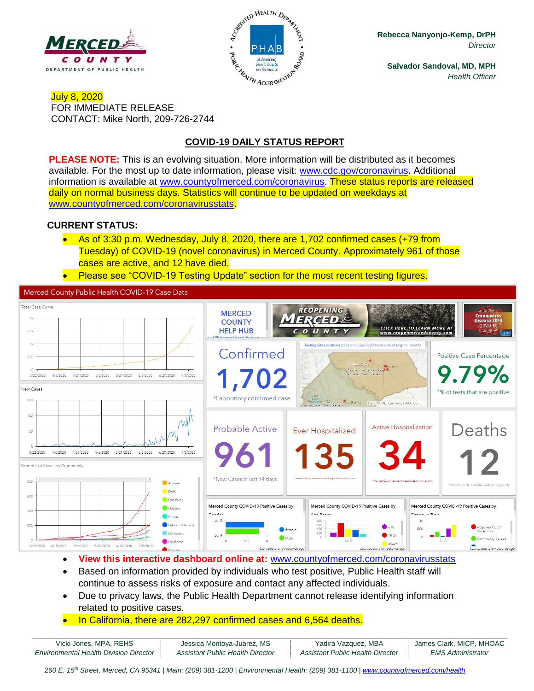



**Rebecca Nanyonjo-Kemp, DrPH** *Director*

**Salvador Sandoval, MD, MPH** *Health Officer*

#### July 8, 2020 FOR IMMEDIATE RELEASE CONTACT: Mike North, 209-726-2744

# **COVID-19 DAILY STATUS REPORT**

**PLEASE NOTE:** This is an evolving situation. More information will be distributed as it becomes available. For the most up to date information, please visit: [www.cdc.gov/coronavirus.](http://www.cdc.gov/coronavirus) Additional information is available at [www.countyofmerced.com/coronavirus.](http://www.countyofmerced.com/coronavirus) These status reports are released daily on normal business days. Statistics will continue to be updated on weekdays at [www.countyofmerced.com/coronavirusstats.](http://www.countyofmerced.com/coronavirusstats)

### **CURRENT STATUS:**

- As of 3:30 p.m. Wednesday, July 8, 2020, there are 1,702 confirmed cases (+79 from Tuesday) of COVID-19 (novel coronavirus) in Merced County. Approximately 961 of those cases are active, and 12 have died.
- Please see "COVID-19 Testing Update" section for the most recent testing figures.

Merced County Public Health COVID-19 Case Data



- **View this interactive dashboard online at:** [www.countyofmerced.com/coronavirusstats](http://www.countyofmerced.com/coronavirusstats)
- Based on information provided by individuals who test positive, Public Health staff will continue to assess risks of exposure and contact any affected individuals.
- Due to privacy laws, the Public Health Department cannot release identifying information related to positive cases.
- In California, there are 282,297 confirmed cases and 6,564 deaths.

| Vicki Jones, MPA, REHS                        | Jessica Montoya-Juarez, MS       | Yadira Vazquez, MBA              | James Clark, MICP, MHOAC |
|-----------------------------------------------|----------------------------------|----------------------------------|--------------------------|
| <b>Environmental Health Division Director</b> | Assistant Public Health Director | Assistant Public Health Director | EMS Administrator        |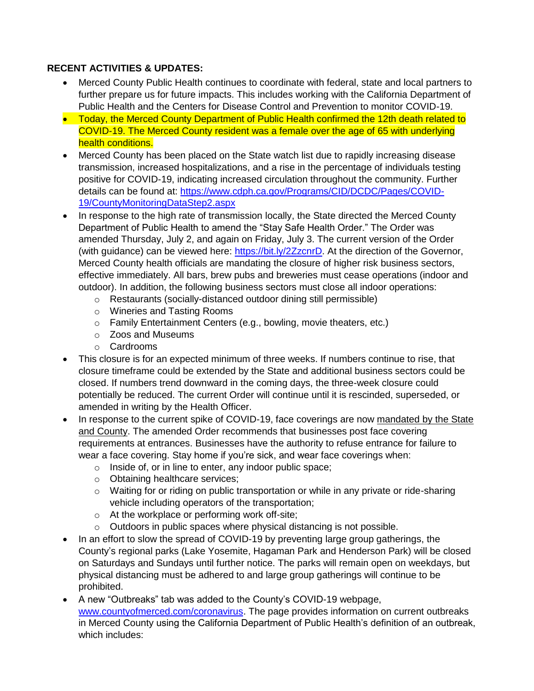### **RECENT ACTIVITIES & UPDATES:**

- Merced County Public Health continues to coordinate with federal, state and local partners to further prepare us for future impacts. This includes working with the California Department of Public Health and the Centers for Disease Control and Prevention to monitor COVID-19.
- Today, the Merced County Department of Public Health confirmed the 12th death related to COVID-19. The Merced County resident was a female over the age of 65 with underlying health conditions.
- Merced County has been placed on the State watch list due to rapidly increasing disease transmission, increased hospitalizations, and a rise in the percentage of individuals testing positive for COVID-19, indicating increased circulation throughout the community. Further details can be found at: [https://www.cdph.ca.gov/Programs/CID/DCDC/Pages/COVID-](https://www.cdph.ca.gov/Programs/CID/DCDC/Pages/COVID-19/CountyMonitoringDataStep2.aspx)[19/CountyMonitoringDataStep2.aspx](https://www.cdph.ca.gov/Programs/CID/DCDC/Pages/COVID-19/CountyMonitoringDataStep2.aspx)
- In response to the high rate of transmission locally, the State directed the Merced County Department of Public Health to amend the "Stay Safe Health Order." The Order was amended Thursday, July 2, and again on Friday, July 3. The current version of the Order (with guidance) can be viewed here: [https://bit.ly/2ZzcnrD.](https://bit.ly/2ZzcnrD) At the direction of the Governor, Merced County health officials are mandating the closure of higher risk business sectors, effective immediately. All bars, brew pubs and breweries must cease operations (indoor and outdoor). In addition, the following business sectors must close all indoor operations:
	- o Restaurants (socially-distanced outdoor dining still permissible)
	- o Wineries and Tasting Rooms
	- o Family Entertainment Centers (e.g., bowling, movie theaters, etc.)
	- o Zoos and Museums
	- o Cardrooms
- This closure is for an expected minimum of three weeks. If numbers continue to rise, that closure timeframe could be extended by the State and additional business sectors could be closed. If numbers trend downward in the coming days, the three-week closure could potentially be reduced. The current Order will continue until it is rescinded, superseded, or amended in writing by the Health Officer.
- In response to the current spike of COVID-19, face coverings are now mandated by the State and County. The amended Order recommends that businesses post face covering requirements at entrances. Businesses have the authority to refuse entrance for failure to wear a face covering. Stay home if you're sick, and wear face coverings when:
	- o Inside of, or in line to enter, any indoor public space;
	- o Obtaining healthcare services;
	- $\circ$  Waiting for or riding on public transportation or while in any private or ride-sharing vehicle including operators of the transportation;
	- o At the workplace or performing work off-site;
	- o Outdoors in public spaces where physical distancing is not possible.
- In an effort to slow the spread of COVID-19 by preventing large group gatherings, the County's regional parks (Lake Yosemite, Hagaman Park and Henderson Park) will be closed on Saturdays and Sundays until further notice. The parks will remain open on weekdays, but physical distancing must be adhered to and large group gatherings will continue to be prohibited.
- A new "Outbreaks" tab was added to the County's COVID-19 webpage, [www.countyofmerced.com/coronavirus.](http://www.countyofmerced.com/coronavirus) The page provides information on current outbreaks in Merced County using the California Department of Public Health's definition of an outbreak, which includes: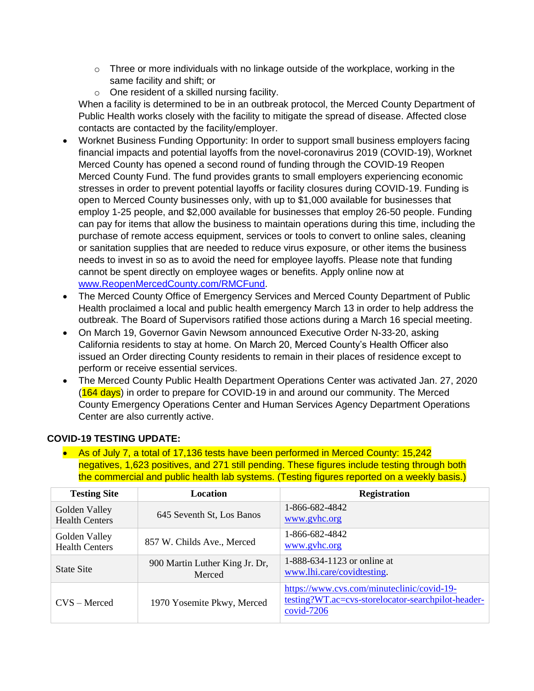- $\circ$  Three or more individuals with no linkage outside of the workplace, working in the same facility and shift; or
- o One resident of a skilled nursing facility.

When a facility is determined to be in an outbreak protocol, the Merced County Department of Public Health works closely with the facility to mitigate the spread of disease. Affected close contacts are contacted by the facility/employer.

- Worknet Business Funding Opportunity: In order to support small business employers facing financial impacts and potential layoffs from the novel-coronavirus 2019 (COVID-19), Worknet Merced County has opened a second round of funding through the COVID-19 Reopen Merced County Fund. The fund provides grants to small employers experiencing economic stresses in order to prevent potential layoffs or facility closures during COVID-19. Funding is open to Merced County businesses only, with up to \$1,000 available for businesses that employ 1-25 people, and \$2,000 available for businesses that employ 26-50 people. Funding can pay for items that allow the business to maintain operations during this time, including the purchase of remote access equipment, services or tools to convert to online sales, cleaning or sanitation supplies that are needed to reduce virus exposure, or other items the business needs to invest in so as to avoid the need for employee layoffs. Please note that funding cannot be spent directly on employee wages or benefits. Apply online now at [www.ReopenMercedCounty.com/RMCFund.](http://www.reopenmercedcounty.com/RMCFund)
- The Merced County Office of Emergency Services and Merced County Department of Public Health proclaimed a local and public health emergency March 13 in order to help address the outbreak. The Board of Supervisors ratified those actions during a March 16 special meeting.
- On March 19, Governor Gavin Newsom announced Executive Order N-33-20, asking California residents to stay at home. On March 20, Merced County's Health Officer also issued an Order directing County residents to remain in their places of residence except to perform or receive essential services.
- The Merced County Public Health Department Operations Center was activated Jan. 27, 2020 (164 days) in order to prepare for COVID-19 in and around our community. The Merced County Emergency Operations Center and Human Services Agency Department Operations Center are also currently active.

### **COVID-19 TESTING UPDATE:**

• As of July 7, a total of 17,136 tests have been performed in Merced County: 15,242 negatives, 1,623 positives, and 271 still pending. These figures include testing through both the commercial and public health lab systems. (Testing figures reported on a weekly basis.)

| <b>Testing Site</b>                    | <b>Location</b>                          | <b>Registration</b>                                                                                              |
|----------------------------------------|------------------------------------------|------------------------------------------------------------------------------------------------------------------|
| Golden Valley<br><b>Health Centers</b> | 645 Seventh St, Los Banos                | 1-866-682-4842<br>www.gyhc.org                                                                                   |
| Golden Valley<br><b>Health Centers</b> | 857 W. Childs Ave., Merced               | 1-866-682-4842<br>www.gyhc.org                                                                                   |
| <b>State Site</b>                      | 900 Martin Luther King Jr. Dr,<br>Merced | 1-888-634-1123 or online at<br>www.lhi.care/covidtesting.                                                        |
| $CVS - Mercedes$                       | 1970 Yosemite Pkwy, Merced               | https://www.cvs.com/minuteclinic/covid-19-<br>testing?WT.ac=cvs-storelocator-searchpilot-header-<br>$covid-7206$ |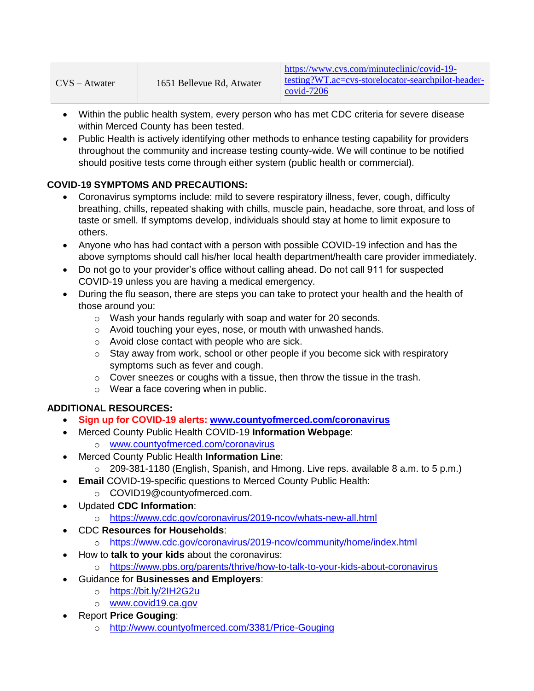| $CVS - Atwater$ | 1651 Bellevue Rd, Atwater | https://www.cvs.com/minuteclinic/covid-19-<br>testing?WT.ac=cvs-storelocator-searchpilot-header-<br>$\alpha$ covid-7206 |
|-----------------|---------------------------|-------------------------------------------------------------------------------------------------------------------------|
|-----------------|---------------------------|-------------------------------------------------------------------------------------------------------------------------|

- Within the public health system, every person who has met CDC criteria for severe disease within Merced County has been tested.
- Public Health is actively identifying other methods to enhance testing capability for providers throughout the community and increase testing county-wide. We will continue to be notified should positive tests come through either system (public health or commercial).

## **COVID-19 SYMPTOMS AND PRECAUTIONS:**

- Coronavirus symptoms include: mild to severe respiratory illness, fever, cough, difficulty breathing, chills, repeated shaking with chills, muscle pain, headache, sore throat, and loss of taste or smell. If symptoms develop, individuals should stay at home to limit exposure to others.
- Anyone who has had contact with a person with possible COVID-19 infection and has the above symptoms should call his/her local health department/health care provider immediately.
- Do not go to your provider's office without calling ahead. Do not call 911 for suspected COVID-19 unless you are having a medical emergency.
- During the flu season, there are steps you can take to protect your health and the health of those around you:
	- o Wash your hands regularly with soap and water for 20 seconds.
	- o Avoid touching your eyes, nose, or mouth with unwashed hands.
	- o Avoid close contact with people who are sick.
	- o Stay away from work, school or other people if you become sick with respiratory symptoms such as fever and cough.
	- $\circ$  Cover sneezes or coughs with a tissue, then throw the tissue in the trash.
	- o Wear a face covering when in public.

## **ADDITIONAL RESOURCES:**

- **Sign up for COVID-19 alerts: [www.countyofmerced.com/coronavirus](http://www.countyofmerced.com/coronavirus)**
- Merced County Public Health COVID-19 **Information Webpage**:
	- o [www.countyofmerced.com/coronavirus](http://www.countyofmerced.com/coronavirus)
	- Merced County Public Health **Information Line**:
		- o 209-381-1180 (English, Spanish, and Hmong. Live reps. available 8 a.m. to 5 p.m.)
- **Email COVID-19-specific questions to Merced County Public Health:** 
	- o COVID19@countyofmerced.com.
- Updated **CDC Information**:
	- o <https://www.cdc.gov/coronavirus/2019-ncov/whats-new-all.html>
	- CDC **Resources for Households**:
		- o <https://www.cdc.gov/coronavirus/2019-ncov/community/home/index.html>
- How to **talk to your kids** about the coronavirus:
	- o <https://www.pbs.org/parents/thrive/how-to-talk-to-your-kids-about-coronavirus>
- Guidance for **Businesses and Employers**:
	- o <https://bit.ly/2IH2G2u>
	- o [www.covid19.ca.gov](http://www.covid19.ca.gov/)
- Report **Price Gouging**:
	- o <http://www.countyofmerced.com/3381/Price-Gouging>